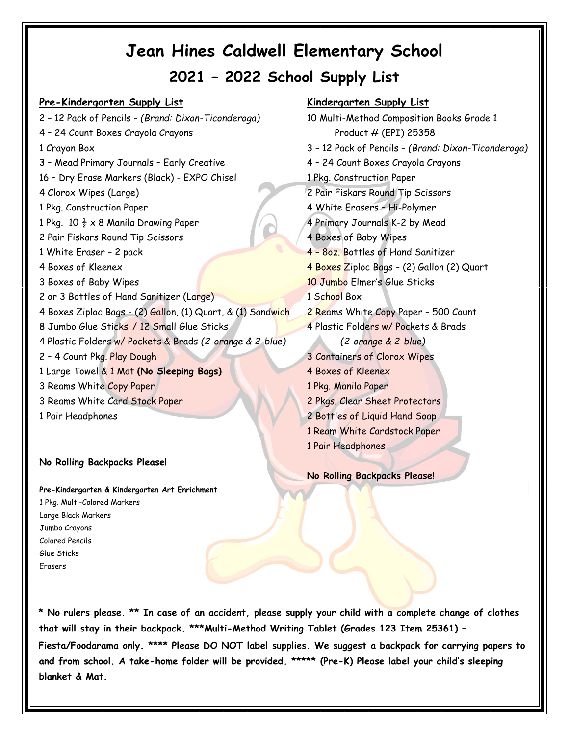# **Pre-Kindergarten Supply List Kindergarten Supply List**

2 – 12 Pack of Pencils – *(Brand: Dixon-Ticonderoga)* 10 Multi-Method Composition Books Grade 1 4 - 24 Count Boxes Crayola Crayons entitled to the US of the Product # (EPI) 25358 1 Crayon Box 3 – 12 Pack of Pencils – *(Brand: Dixon-Ticonderoga)* 3 – Mead Primary Journals – Early Creative 16 – Dry Erase Markers (Black) - EXPO Chisel 4 Clorox Wipes (Large) 2 Pair Fiskars Round Tip Scissors 1 Pkg. Construction Paper 4 White Erasers – Hi-Polymer 1 Pkg. 10  $\frac{1}{2} \times 8$  Manila Drawing Paper 4 Primary Journals K-2 by Mead 2 Pair Fiskars Round Tip Scissors 4 Boxes of Baby Wipes 1 White Eraser – 2 pack 4 – 8oz. Bottles of Hand Sanitizer 4 Boxes of Kleenex 4 Boxes Ziploc Bags – (2) Gallon (2) Quart 3 Boxes of Baby Wipes 10 Jumbo Elmer's Glue Sticks 2 or 3 Bottles of Hand Sanitizer (Large) 1 School Box 4 Boxes Ziploc Bags - (2) Gallon, (1) Quart, & (1) Sandwich 2 Reams White Copy Paper - 500 Count 8 Jumbo Glue Sticks / 12 Small Glue Sticks 4 Plastic Folders w/ Pockets & Brads 4 Plastic Folders w/ Pockets & Brads *(2-orange & 2-blue) (2-orange & 2-blue)*  2 – 4 Count Pkg. Play Dough 1 Large Towel & 1 Mat **(No Sleeping Bags)** 3 Reams White Copy Paper 3 Reams White Card Stock Paper 1 Pair Headphones

# **No Rolling Backpacks Please!**

**Pre-Kindergarten & Kindergarten Art Enrichment** 1 Pkg. Multi-Colored Markers Large Black Markers Jumbo Crayons Colored Pencils Glue Sticks Erasers

4 – 24 Count Boxes Crayola Crayons 1 Pkg. Construction Paper 3 Containers of Clorox Wipes 4 Boxes of Kleenex 1 Pkg. Manila Paper 2 Pkgs. Clear Sheet Protectors 2 Bottles of Liquid Hand Soap 1 Ream White Cardstock Paper 1 Pair Headphones

**No Rolling Backpacks Please!**

**\* No rulers please. \*\* In case of an accident, please supply your child with a complete change of clothes that will stay in their backpack. \*\*\*Multi-Method Writing Tablet (Grades 123 Item 25361) – Fiesta/Foodarama only. \*\*\*\* Please DO NOT label supplies. We suggest a backpack for carrying papers to and from school. A take-home folder will be provided. \*\*\*\*\* (Pre-K) Please label your child's sleeping blanket & Mat.**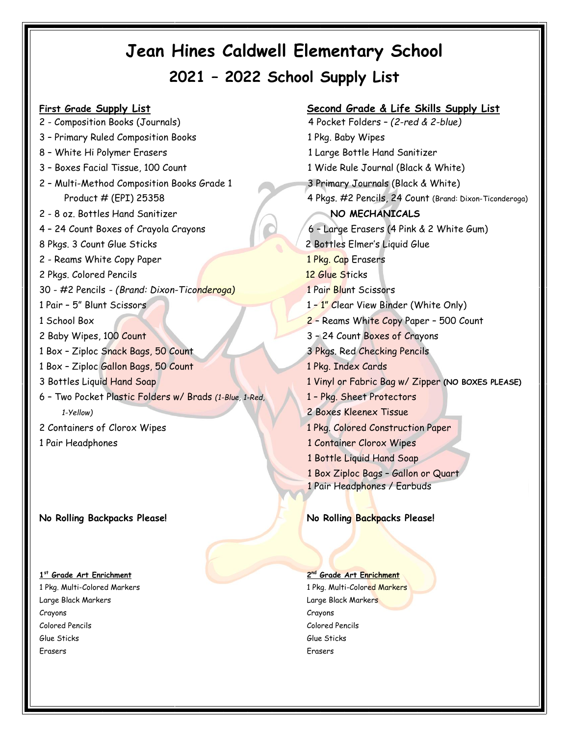2 - Composition Books (Journals) 4 Pocket Folders – *(2-red & 2-blue)* 3 - Primary Ruled Composition Books 1 Pkg. Baby Wipes 8 - White Hi Polymer Erasers and the state of the 1 Large Bottle Hand Sanitizer 3 - Boxes Facial Tissue, 100 Count 1 Wide Rule Journal (Black & White) 2 – Multi-Method Composition Books Grade 1 3 Primary Journals (Black & White) 2 - 8 oz. Bottles Hand Sanitizer **NO MECHANICALS** 4 – 24 Count Boxes of Crayola Crayons6 – Large Erasers (4 Pink & 2 White Gum) 8 Pkgs. 3 Count Glue Sticks2 Bottles Elmer's Liquid Glue 2 - Reams White Copy Paper 1 Pkg. Cap Erasers 2 Pkgs. Colored Pencils12 Glue Sticks 30 - #2 Pencils - *(Brand: Dixon-Ticonderoga)* 1 Pair Blunt Scissors 1 Pair – 5" Blunt Scissors 1 – 1" Clear View Binder (White Only) 1 School Box 2 – Reams White Copy Paper – 500 Count 2 Baby Wipes, 100 Count 3 – 24 Count Boxes of Crayons 1 Box – Ziploc Snack Bags, 50 Count 3 Pkgs. Red Checking Pencils 1 Box – Ziploc Gallon Bags, 50 Count 1 Pkg. Index Cards 6 – Two Pocket Plastic Folders w/ Brads *(1-Blue, 1-Red,* 1 – Pkg. Sheet Protectors  *1-Yellow)* 2 Boxes Kleenex Tissue 2 Containers of Clorox Wipes 1 Pkg. Colored Construction Paper 1 Pair Headphones 1 Container Clorox Wipes

## **No Rolling Backpacks Please! No Rolling Backpacks Please!**

## **1 st Grade Art Enrichment 2**

Large Black Markers Large Black Markers Crayons Crayons Colored Pencils Colored Pencils Glue Sticks Glue Sticks Erasers Erasers

**First Grade Supply List Second Grade & Life Skills Supply List** Product # (EPI) 253584 Pkgs. #2 Pencils, 24 Count (Brand: Dixon-Ticonderoga) 3 Bottles Liquid Hand Soap 1 Vinyl or Fabric Bag w/ Zipper **(NO BOXES PLEASE)** 1 Bottle Liquid Hand Soap 1 Box Ziploc Bags – Gallon or Quart 1 Pair Headphones / Earbuds

## **nd Grade Art Enrichment**

1 Pkg. Multi-Colored Markers 1 Pkg. Multi-Colored Markers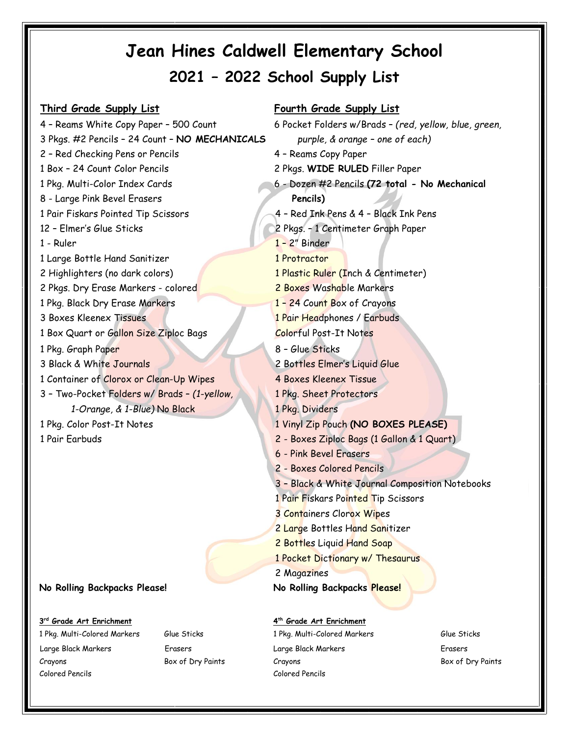3 Pkgs. #2 Pencils – 24 Count – **NO MECHANICALS** *purple, & orange – one of each)* 2 – Red Checking Pens or Pencils 4 – Reams Copy Paper 1 Box – 24 Count Color Pencils 2 Pkgs. **WIDE RULED** Filler Paper 8 - Large Pink Bevel Erasers 1 Pair Fiskars Pointed Tip Scissors 12 – Elmer's Glue Sticks 2 Pkgs. – 1 Centimeter Graph Paper 1 - Ruler 1 – 2<sup>"</sup> Binder 1 Large Bottle Hand Sanitizer 1 Protractor 2 Highlighters (no dark colors) 2 1 Plastic Ruler (Inch & Centimeter) 2 Pkgs. Dry Erase Markers - colored 2 Boxes Washable Markers 1 Pkg. Black Dry Erase Markers 3 Boxes Kleenex Tissues 1 Box Quart or Gallon Size Ziploc Bags Colorful Post-It Notes 1 Pkg. Graph Paper 3 Black & White Journals 1 Container of Clorox or Clean-Up Wipes 4 Boxes Kleenex Tissue 3 – Two-Pocket Folders w/ Brads – *(1-yellow,* 1 Pkg. Sheet Protectors  *1-Orange, & 1-Blue)* No Black 1 Pkg. Dividers 1 Pkg. Color Post-It Notes 1 Vinyl Zip Pouch **(NO BOXES PLEASE)** 1 Pair Earbuds 2 - Boxes Ziploc Bags (1 Gallon & 1 Quart)

## **3 rd Grade Art Enrichment 4**

Large Black Markers Erasers Large Black Markers Erasers Crayons Box of Dry Paints Crayons Box of Dry Paints Colored Pencils Colored Pencils

## **Third Grade Supply List Fourth Grade Supply List**

4 – Reams White Copy Paper – 500 Count 6 Pocket Folders w/Brads – *(red, yellow, blue, green,* 1 Pkg. Multi-Color Index Cards 6 - Dozen #2 Pencils **(72 total - No Mechanical Pencils)** 4 – Red Ink Pens & 4 – Black Ink Pens 1 – 24 Count Box of Crayons 1 Pair Headphones / Earbuds 8 – Glue Sticks 2 Bottles Elmer's Liquid Glue 6 - Pink Bevel Erasers 2 - Boxes Colored Pencils 3 – Black & White Journal Composition Notebooks 1 Pair Fiskars Pointed Tip Scissors 3 Containers Clorox Wipes 2 Large Bottles Hand Sanitizer 2 Bottles Liquid Hand Soap 1 Pocket Dictionary w/ Thesaurus 2 Magazines **No Rolling Backpacks Please! No Rolling Backpacks Please!**

# **th Grade Art Enrichment**

1 Pkg. Multi-Colored Markers Glue Sticks 1 Pkg. Multi-Colored Markers Glue Sticks